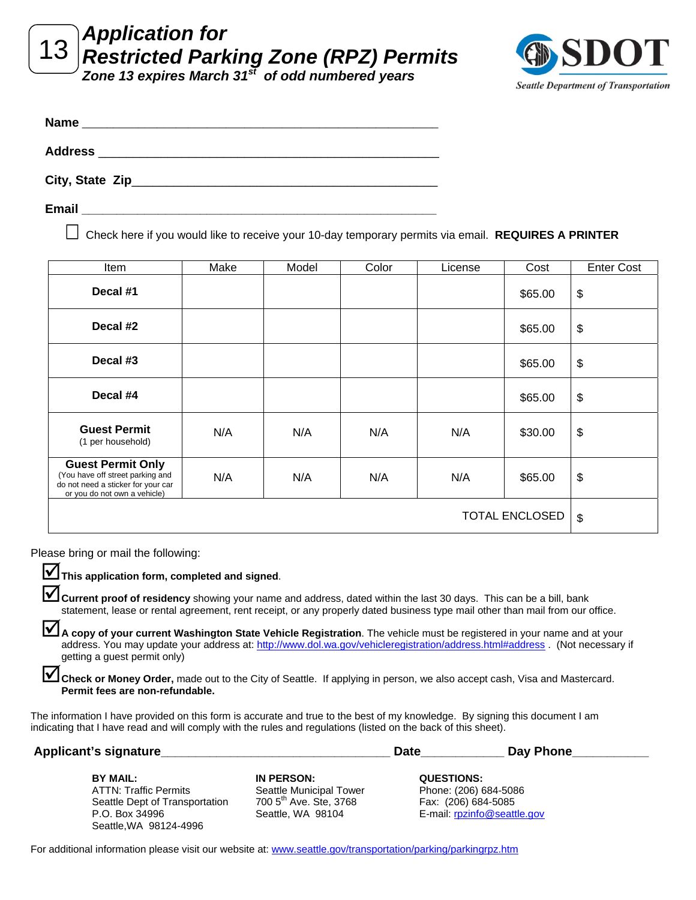<sup>13</sup>*Application for Restricted Parking Zone (RPZ) Permits*

*Zone 13 expires March 31st of odd numbered years* 



| <b>Name</b>     |  |  |
|-----------------|--|--|
| <b>Address</b>  |  |  |
| City, State Zip |  |  |

**Email \_\_\_\_\_\_\_\_\_\_\_\_\_\_\_\_\_\_\_\_\_\_\_\_\_\_\_\_\_\_\_\_\_\_\_\_\_\_\_\_\_\_\_\_\_\_\_\_\_\_\_**

Check here if you would like to receive your 10-day temporary permits via email. **REQUIRES A PRINTER**

| Item                                                                                                                               | Make | Model | Color | License | Cost    | <b>Enter Cost</b>         |
|------------------------------------------------------------------------------------------------------------------------------------|------|-------|-------|---------|---------|---------------------------|
| Decal #1                                                                                                                           |      |       |       |         | \$65.00 | \$                        |
| Decal #2                                                                                                                           |      |       |       |         | \$65.00 | \$                        |
| Decal #3                                                                                                                           |      |       |       |         | \$65.00 | $\boldsymbol{\mathsf{S}}$ |
| Decal #4                                                                                                                           |      |       |       |         | \$65.00 | \$                        |
| <b>Guest Permit</b><br>(1 per household)                                                                                           | N/A  | N/A   | N/A   | N/A     | \$30.00 | \$                        |
| <b>Guest Permit Only</b><br>(You have off street parking and<br>do not need a sticker for your car<br>or you do not own a vehicle) | N/A  | N/A   | N/A   | N/A     | \$65.00 | \$                        |
| <b>TOTAL ENCLOSED</b>                                                                                                              |      |       |       |         |         | \$                        |

Please bring or mail the following:

**V** This application form, completed and signed.

**V** Current proof of residency showing your name and address, dated within the last 30 days. This can be a bill, bank statement, lease or rental agreement, rent receipt, or any properly dated business type mail other than mail from our office.

A copy of your current Washington State Vehicle Registration. The vehicle must be registered in your name and at your address. You may update your address at: http://www.dol.wa.gov/vehicleregistration/address.html#address . (Not necessary if getting a guest permit only)

**1** Check or Money Order, made out to the City of Seattle. If applying in person, we also accept cash, Visa and Mastercard. **Permit fees are non-refundable.**

The information I have provided on this form is accurate and true to the best of my knowledge. By signing this document I am indicating that I have read and will comply with the rules and regulations (listed on the back of this sheet).

| Applicant's signature          |                                    | <b>Date</b><br>Day Phone    |  |
|--------------------------------|------------------------------------|-----------------------------|--|
| BY MAIL:                       | IN PERSON:                         | <b>QUESTIONS:</b>           |  |
| <b>ATTN: Traffic Permits</b>   | Seattle Municipal Tower            | Phone: (206) 684-5086       |  |
| Seattle Dept of Transportation | 700 5 <sup>th</sup> Ave. Ste, 3768 | Fax: (206) 684-5085         |  |
| P.O. Box 34996                 | Seattle, WA 98104                  | E-mail: rpzinfo@seattle.gov |  |
| Seattle.WA 98124-4996          |                                    |                             |  |

For additional information please visit our website at: www.seattle.gov/transportation/parking/parkingrpz.htm